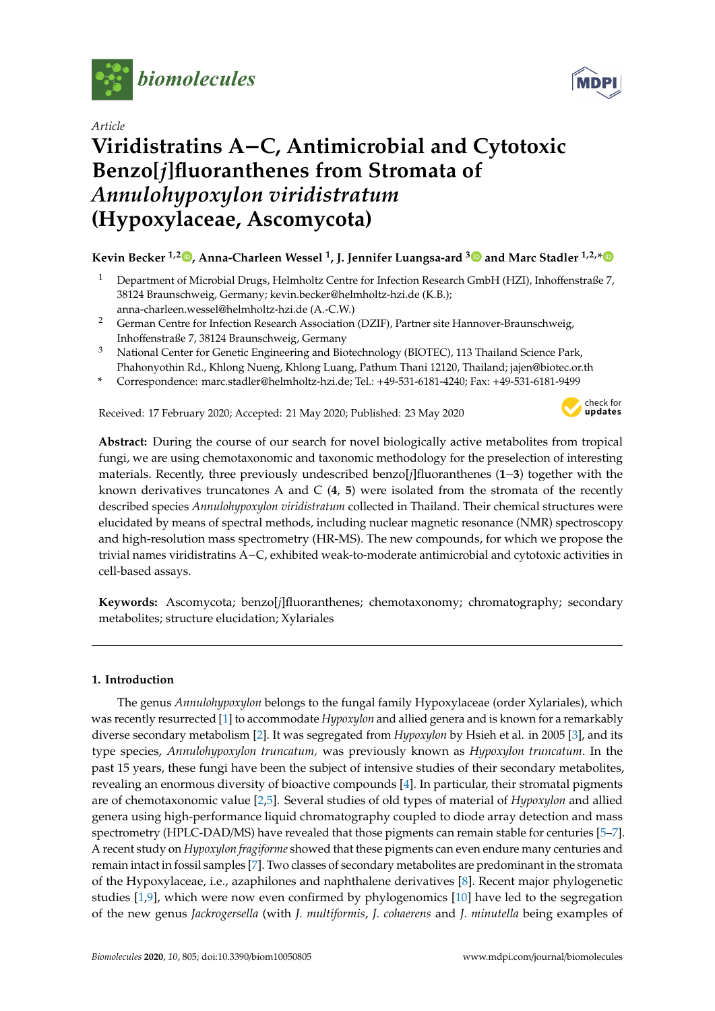

*Article*

# **Viridistratins A**−**C, Antimicrobial and Cytotoxic Benzo[***j***]fluoranthenes from Stromata of** *Annulohypoxylon viridistratum* **(Hypoxylaceae, Ascomycota)**

### **Kevin Becker 1,2 [,](https://orcid.org/0000-0002-6490-4100) Anna-Charleen Wessel <sup>1</sup> , J. Jennifer Luangsa-ard [3](https://orcid.org/0000-0001-6801-2145) and Marc Stadler 1,2,[\\*](https://orcid.org/0000-0002-7284-8671)**

- <sup>1</sup> Department of Microbial Drugs, Helmholtz Centre for Infection Research GmbH (HZI), Inhoffenstraße 7, 38124 Braunschweig, Germany; kevin.becker@helmholtz-hzi.de (K.B.); anna-charleen.wessel@helmholtz-hzi.de (A.-C.W.)
- <sup>2</sup> German Centre for Infection Research Association (DZIF), Partner site Hannover-Braunschweig, Inhoffenstraße 7, 38124 Braunschweig, Germany
- <sup>3</sup> National Center for Genetic Engineering and Biotechnology (BIOTEC), 113 Thailand Science Park, Phahonyothin Rd., Khlong Nueng, Khlong Luang, Pathum Thani 12120, Thailand; jajen@biotec.or.th
- **\*** Correspondence: marc.stadler@helmholtz-hzi.de; Tel.: +49-531-6181-4240; Fax: +49-531-6181-9499

Received: 17 February 2020; Accepted: 21 May 2020; Published: 23 May 2020



**Abstract:** During the course of our search for novel biologically active metabolites from tropical fungi, we are using chemotaxonomic and taxonomic methodology for the preselection of interesting materials. Recently, three previously undescribed benzo[*j*]fluoranthenes (**1**−**3**) together with the known derivatives truncatones A and C (**4**, **5**) were isolated from the stromata of the recently described species *Annulohypoxylon viridistratum* collected in Thailand. Their chemical structures were elucidated by means of spectral methods, including nuclear magnetic resonance (NMR) spectroscopy and high-resolution mass spectrometry (HR-MS). The new compounds, for which we propose the trivial names viridistratins A−C, exhibited weak-to-moderate antimicrobial and cytotoxic activities in cell-based assays.

**Keywords:** Ascomycota; benzo[*j*]fluoranthenes; chemotaxonomy; chromatography; secondary metabolites; structure elucidation; Xylariales

#### **1. Introduction**

The genus *Annulohypoxylon* belongs to the fungal family Hypoxylaceae (order Xylariales), which was recently resurrected [\[1\]](#page-8-0) to accommodate *Hypoxylon* and allied genera and is known for a remarkably diverse secondary metabolism [\[2\]](#page-8-1). It was segregated from *Hypoxylon* by Hsieh et al. in 2005 [\[3\]](#page-8-2), and its type species, *Annulohypoxylon truncatum,* was previously known as *Hypoxylon truncatum*. In the past 15 years, these fungi have been the subject of intensive studies of their secondary metabolites, revealing an enormous diversity of bioactive compounds [\[4\]](#page-8-3). In particular, their stromatal pigments are of chemotaxonomic value [\[2,](#page-8-1)[5\]](#page-8-4). Several studies of old types of material of *Hypoxylon* and allied genera using high-performance liquid chromatography coupled to diode array detection and mass spectrometry (HPLC-DAD/MS) have revealed that those pigments can remain stable for centuries [\[5–](#page-8-4)[7\]](#page-9-0). A recent study on *Hypoxylon fragiforme* showed that these pigments can even endure many centuries and remain intact in fossil samples [\[7\]](#page-9-0). Two classes of secondary metabolites are predominant in the stromata of the Hypoxylaceae, i.e., azaphilones and naphthalene derivatives [\[8\]](#page-9-1). Recent major phylogenetic studies [\[1,](#page-8-0)[9\]](#page-9-2), which were now even confirmed by phylogenomics [\[10\]](#page-9-3) have led to the segregation of the new genus *Jackrogersella* (with *J. multiformis*, *J. cohaerens* and *J. minutella* being examples of

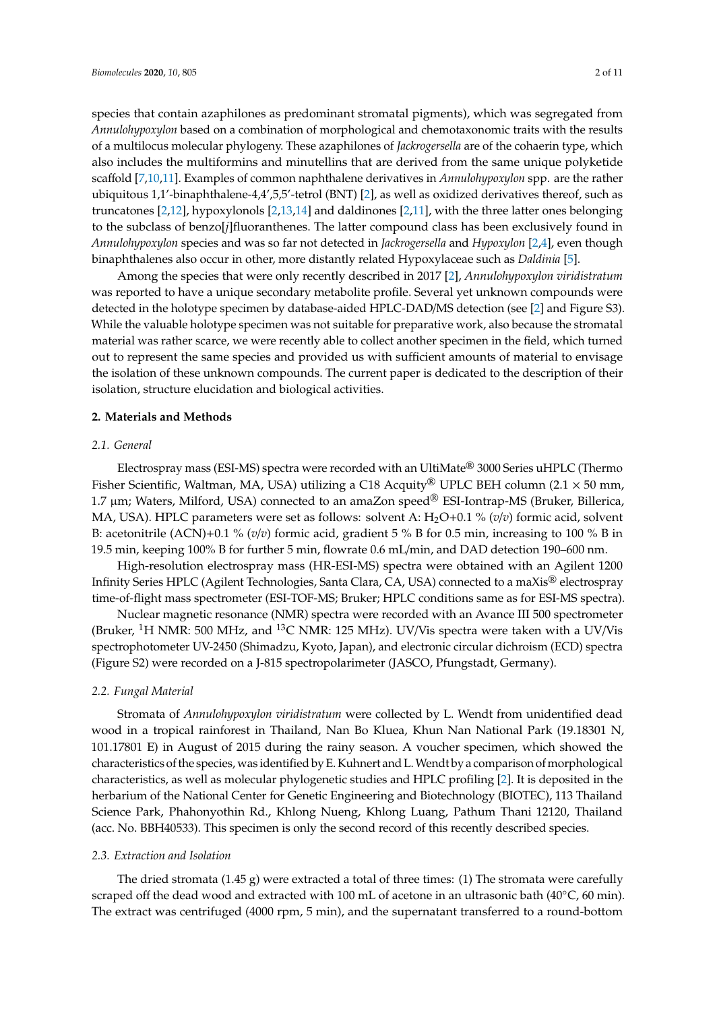species that contain azaphilones as predominant stromatal pigments), which was segregated from *Annulohypoxylon* based on a combination of morphological and chemotaxonomic traits with the results of a multilocus molecular phylogeny. These azaphilones of *Jackrogersella* are of the cohaerin type, which also includes the multiformins and minutellins that are derived from the same unique polyketide scaffold [\[7](#page-9-0)[,10](#page-9-3)[,11\]](#page-9-4). Examples of common naphthalene derivatives in *Annulohypoxylon* spp. are the rather ubiquitous 1,1'-binaphthalene-4,4',5,5'-tetrol (BNT) [\[2\]](#page-8-1), as well as oxidized derivatives thereof, such as truncatones [\[2](#page-8-1)[,12\]](#page-9-5), hypoxylonols [\[2,](#page-8-1)[13,](#page-9-6)[14\]](#page-9-7) and daldinones [\[2,](#page-8-1)[11\]](#page-9-4), with the three latter ones belonging to the subclass of benzo[*j*]fluoranthenes. The latter compound class has been exclusively found in *Annulohypoxylon* species and was so far not detected in *Jackrogersella* and *Hypoxylon* [\[2](#page-8-1)[,4\]](#page-8-3), even though binaphthalenes also occur in other, more distantly related Hypoxylaceae such as *Daldinia* [\[5\]](#page-8-4).

Among the species that were only recently described in 2017 [\[2\]](#page-8-1), *Annulohypoxylon viridistratum* was reported to have a unique secondary metabolite profile. Several yet unknown compounds were detected in the holotype specimen by database-aided HPLC-DAD/MS detection (see [\[2\]](#page-8-1) and Figure S3). While the valuable holotype specimen was not suitable for preparative work, also because the stromatal material was rather scarce, we were recently able to collect another specimen in the field, which turned out to represent the same species and provided us with sufficient amounts of material to envisage the isolation of these unknown compounds. The current paper is dedicated to the description of their isolation, structure elucidation and biological activities.

#### **2. Materials and Methods**

#### *2.1. General*

Electrospray mass (ESI-MS) spectra were recorded with an UltiMate® 3000 Series uHPLC (Thermo Fisher Scientific, Waltman, MA, USA) utilizing a C18 Acquity<sup>®</sup> UPLC BEH column (2.1  $\times$  50 mm, 1.7  $\mu$ m; Waters, Milford, USA) connected to an amaZon speed<sup>®</sup> ESI-Iontrap-MS (Bruker, Billerica, MA, USA). HPLC parameters were set as follows: solvent A: H<sub>2</sub>O+0.1 % (*v*/*v*) formic acid, solvent B: acetonitrile (ACN)+0.1 % (*v*/*v*) formic acid, gradient 5 % B for 0.5 min, increasing to 100 % B in 19.5 min, keeping 100% B for further 5 min, flowrate 0.6 mL/min, and DAD detection 190–600 nm.

High-resolution electrospray mass (HR-ESI-MS) spectra were obtained with an Agilent 1200 Infinity Series HPLC (Agilent Technologies, Santa Clara, CA, USA) connected to a maXis® electrospray time-of-flight mass spectrometer (ESI-TOF-MS; Bruker; HPLC conditions same as for ESI-MS spectra).

Nuclear magnetic resonance (NMR) spectra were recorded with an Avance III 500 spectrometer (Bruker, <sup>1</sup>H NMR: 500 MHz, and <sup>13</sup>C NMR: 125 MHz). UV/Vis spectra were taken with a UV/Vis spectrophotometer UV-2450 (Shimadzu, Kyoto, Japan), and electronic circular dichroism (ECD) spectra (Figure S2) were recorded on a J-815 spectropolarimeter (JASCO, Pfungstadt, Germany).

#### *2.2. Fungal Material*

Stromata of *Annulohypoxylon viridistratum* were collected by L. Wendt from unidentified dead wood in a tropical rainforest in Thailand, Nan Bo Kluea, Khun Nan National Park (19.18301 N, 101.17801 E) in August of 2015 during the rainy season. A voucher specimen, which showed the characteristics of the species, was identified by E. Kuhnert and L.Wendt by a comparison of morphological characteristics, as well as molecular phylogenetic studies and HPLC profiling [\[2\]](#page-8-1). It is deposited in the herbarium of the National Center for Genetic Engineering and Biotechnology (BIOTEC), 113 Thailand Science Park, Phahonyothin Rd., Khlong Nueng, Khlong Luang, Pathum Thani 12120, Thailand (acc. No. BBH40533). This specimen is only the second record of this recently described species.

#### *2.3. Extraction and Isolation*

The dried stromata  $(1.45 \text{ g})$  were extracted a total of three times: (1) The stromata were carefully scraped off the dead wood and extracted with 100 mL of acetone in an ultrasonic bath (40°C, 60 min). The extract was centrifuged (4000 rpm, 5 min), and the supernatant transferred to a round-bottom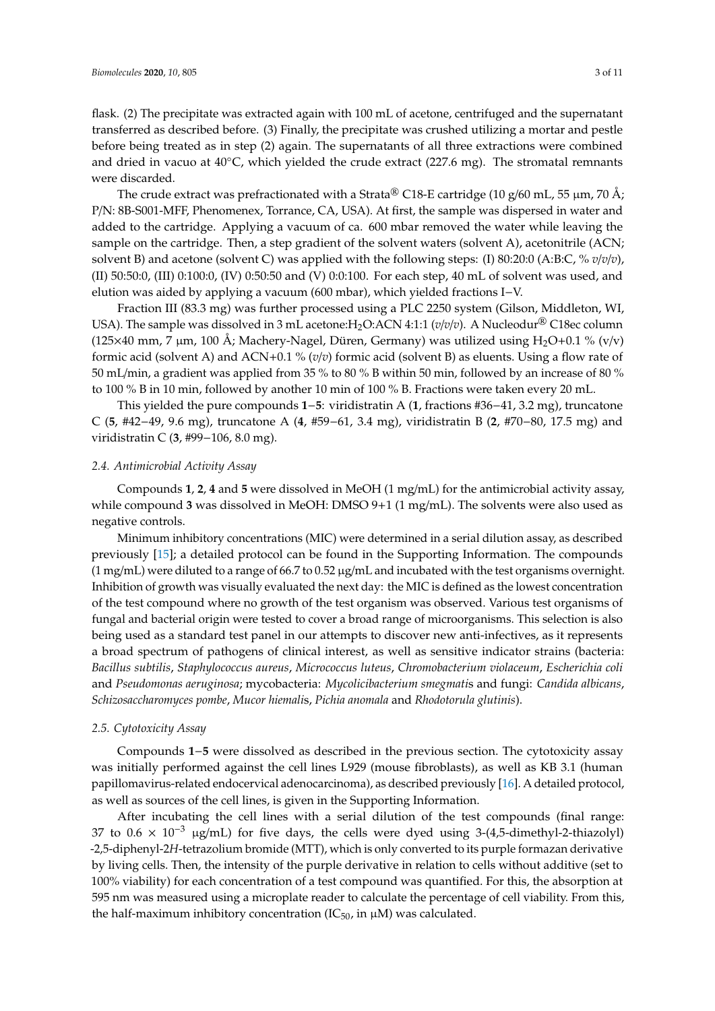flask. (2) The precipitate was extracted again with 100 mL of acetone, centrifuged and the supernatant transferred as described before. (3) Finally, the precipitate was crushed utilizing a mortar and pestle before being treated as in step (2) again. The supernatants of all three extractions were combined and dried in vacuo at  $40^{\circ}$ C, which yielded the crude extract (227.6 mg). The stromatal remnants were discarded.

The crude extract was prefractionated with a Strata® C18-E cartridge (10 g/60 mL, 55  $\mu$ m, 70 Å; P/N: 8B-S001-MFF, Phenomenex, Torrance, CA, USA). At first, the sample was dispersed in water and added to the cartridge. Applying a vacuum of ca. 600 mbar removed the water while leaving the sample on the cartridge. Then, a step gradient of the solvent waters (solvent A), acetonitrile (ACN; solvent B) and acetone (solvent C) was applied with the following steps: (I) 80:20:0 (A:B:C, % *v*/*v*/*v*), (II) 50:50:0, (III) 0:100:0, (IV) 0:50:50 and (V) 0:0:100. For each step, 40 mL of solvent was used, and elution was aided by applying a vacuum (600 mbar), which yielded fractions I−V.

Fraction III (83.3 mg) was further processed using a PLC 2250 system (Gilson, Middleton, WI, USA). The sample was dissolved in 3 mL acetone: H<sub>2</sub>O:ACN 4:1:1 (*v*/*v*/*v*). A Nucleodur<sup>®</sup> C18ec column (125×40 mm, 7 µm, 100 Å; Machery-Nagel, Düren, Germany) was utilized using  $H_2O+0.1$  % (v/v) formic acid (solvent A) and ACN+0.1 % (*v*/*v*) formic acid (solvent B) as eluents. Using a flow rate of 50 mL/min, a gradient was applied from 35 % to 80 % B within 50 min, followed by an increase of 80 % to 100 % B in 10 min, followed by another 10 min of 100 % B. Fractions were taken every 20 mL.

This yielded the pure compounds **1**−**5**: viridistratin A (**1**, fractions #36−41, 3.2 mg), truncatone C (**5**, #42−49, 9.6 mg), truncatone A (**4**, #59−61, 3.4 mg), viridistratin B (**2**, #70−80, 17.5 mg) and viridistratin C (**3**, #99−106, 8.0 mg).

#### *2.4. Antimicrobial Activity Assay*

Compounds **1**, **2**, **4** and **5** were dissolved in MeOH (1 mg/mL) for the antimicrobial activity assay, while compound **3** was dissolved in MeOH: DMSO 9+1 (1 mg/mL). The solvents were also used as negative controls.

Minimum inhibitory concentrations (MIC) were determined in a serial dilution assay, as described previously [\[15\]](#page-9-8); a detailed protocol can be found in the Supporting Information. The compounds (1 mg/mL) were diluted to a range of 66.7 to 0.52  $\mu$ g/mL and incubated with the test organisms overnight. Inhibition of growth was visually evaluated the next day: the MIC is defined as the lowest concentration of the test compound where no growth of the test organism was observed. Various test organisms of fungal and bacterial origin were tested to cover a broad range of microorganisms. This selection is also being used as a standard test panel in our attempts to discover new anti-infectives, as it represents a broad spectrum of pathogens of clinical interest, as well as sensitive indicator strains (bacteria: *Bacillus subtilis*, *Staphylococcus aureus*, *Micrococcus luteus*, *Chromobacterium violaceum*, *Escherichia coli* and *Pseudomonas aeruginosa*; mycobacteria: *Mycolicibacterium smegmati*s and fungi: *Candida albicans*, *Schizosaccharomyces pombe*, *Mucor hiemali*s, *Pichia anomala* and *Rhodotorula glutinis*).

#### *2.5. Cytotoxicity Assay*

Compounds **1**−**5** were dissolved as described in the previous section. The cytotoxicity assay was initially performed against the cell lines L929 (mouse fibroblasts), as well as KB 3.1 (human papillomavirus-related endocervical adenocarcinoma), as described previously [\[16\]](#page-9-9). A detailed protocol, as well as sources of the cell lines, is given in the Supporting Information.

After incubating the cell lines with a serial dilution of the test compounds (final range: 37 to  $0.6 \times 10^{-3}$  µg/mL) for five days, the cells were dyed using 3-(4,5-dimethyl-2-thiazolyl) -2,5-diphenyl-2*H*-tetrazolium bromide (MTT), which is only converted to its purple formazan derivative by living cells. Then, the intensity of the purple derivative in relation to cells without additive (set to 100% viability) for each concentration of a test compound was quantified. For this, the absorption at 595 nm was measured using a microplate reader to calculate the percentage of cell viability. From this, the half-maximum inhibitory concentration (IC $_{50}$ , in  $\mu$ M) was calculated.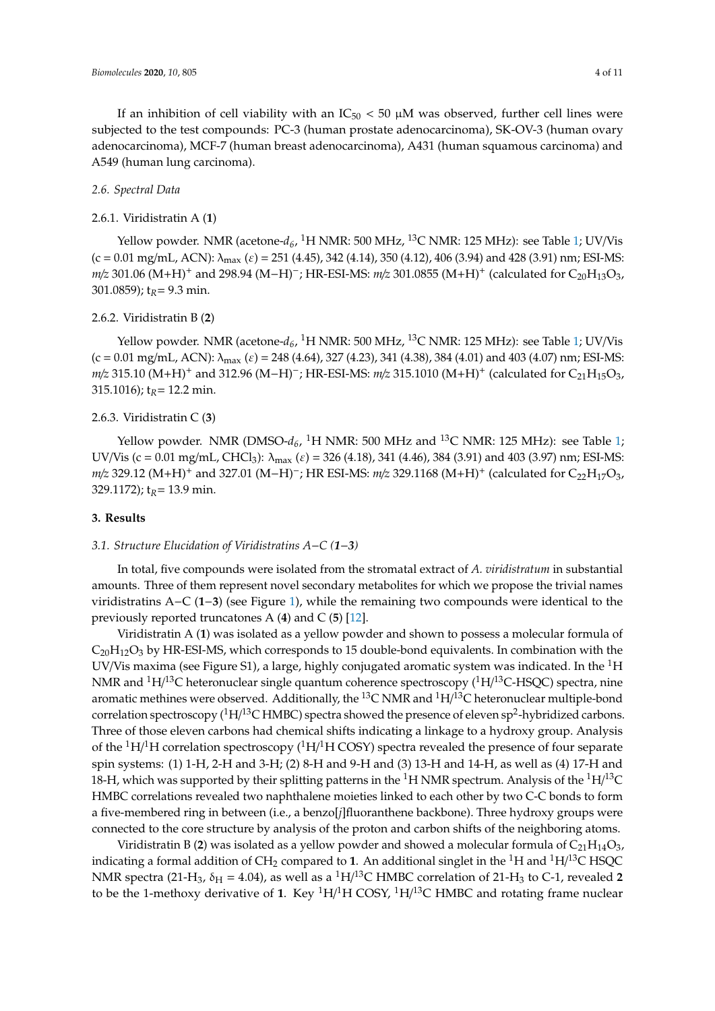If an inhibition of cell viability with an  $IC_{50}$  < 50  $\mu$ M was observed, further cell lines were subjected to the test compounds: PC-3 (human prostate adenocarcinoma), SK-OV-3 (human ovary adenocarcinoma), MCF-7 (human breast adenocarcinoma), A431 (human squamous carcinoma) and A549 (human lung carcinoma).

#### *2.6. Spectral Data*

#### 2.6.1. Viridistratin A (**1**)

Yellow powder. NMR (acetone- $d_6$ , <sup>1</sup>H NMR: 500 MHz, <sup>13</sup>C NMR: 125 MHz): see Table [1;](#page-4-0) UV/Vis  $(c = 0.01 \text{ mg/mL}, \text{ACN}): \lambda_{\text{max}} ( \varepsilon ) = 251 (4.45), 342 (4.14), 350 (4.12), 406 (3.94) \text{ and } 428 (3.91) \text{ nm}; \text{ESI-MS}:$ *m/z* 301.06 (M+H)<sup>+</sup> and 298.94 (M−H)<sup>-</sup>; HR-ESI-MS: *m/z* 301.0855 (M+H)<sup>+</sup> (calculated for C<sub>20</sub>H<sub>13</sub>O<sub>3</sub>, 301.0859); t<sub>R</sub> = 9.3 min.

#### 2.6.2. Viridistratin B (**2**)

Yellow powder. NMR (acetone- $d_6$ , <sup>1</sup>H NMR: 500 MHz, <sup>13</sup>C NMR: 125 MHz): see Table [1;](#page-4-0) UV/Vis  $(c = 0.01 \text{ mg/mL}, ACN): \lambda_{\text{max}} ( \varepsilon ) = 248 (4.64), 327 (4.23), 341 (4.38), 384 (4.01) \text{ and } 403 (4.07) \text{ nm}; ESI-MS:$ *m*/*z* 315.10 (M+H)<sup>+</sup> and 312.96 (M−H)<sup>-</sup>; HR-ESI-MS: *m*/*z* 315.1010 (M+H)<sup>+</sup> (calculated for C<sub>21</sub>H<sub>15</sub>O<sub>3</sub>, 315.1016);  $t_R$  = 12.2 min.

#### 2.6.3. Viridistratin C (**3**)

Yellow powder. NMR (DMSO- $d_6$ , <sup>1</sup>H NMR: 500 MHz and <sup>13</sup>C NMR: 125 MHz): see Table [1;](#page-4-0) UV/Vis (c = 0.01 mg/mL, CHCl<sub>3</sub>):  $\lambda_{\text{max}}$  ( $\varepsilon$ ) = 326 (4.18), 341 (4.46), 384 (3.91) and 403 (3.97) nm; ESI-MS: *m*/*z* 329.12 (M+H)<sup>+</sup> and 327.01 (M−H)<sup>-</sup>; HR ESI-MS: *m*/*z* 329.1168 (M+H)<sup>+</sup> (calculated for C<sub>22</sub>H<sub>17</sub>O<sub>3</sub>, 329.1172); t*R*= 13.9 min.

#### **3. Results**

#### *3.1. Structure Elucidation of Viridistratins A*−*C (1*−*3)*

In total, five compounds were isolated from the stromatal extract of *A. viridistratum* in substantial amounts. Three of them represent novel secondary metabolites for which we propose the trivial names viridistratins A−C (**1**−**3**) (see Figure [1\)](#page-5-0), while the remaining two compounds were identical to the previously reported truncatones A (**4**) and C (**5**) [\[12\]](#page-9-5).

Viridistratin A (**1**) was isolated as a yellow powder and shown to possess a molecular formula of  $C_{20}H_{12}O_3$  by HR-ESI-MS, which corresponds to 15 double-bond equivalents. In combination with the UV/Vis maxima (see Figure S1), a large, highly conjugated aromatic system was indicated. In the  ${}^{1}$ H NMR and  $\rm ^1H/^{13}C$  heteronuclear single quantum coherence spectroscopy ( $\rm ^1H/^{13}C$ -HSQC) spectra, nine aromatic methines were observed. Additionally, the  $^{13}$ C NMR and  $^{1}$ H/ $^{13}$ C heteronuclear multiple-bond correlation spectroscopy ( $\rm ^1H/^{13}C$  HMBC) spectra showed the presence of eleven sp<sup>2</sup>-hybridized carbons. Three of those eleven carbons had chemical shifts indicating a linkage to a hydroxy group. Analysis of the  ${}^{1}H/{}^{1}H$  correlation spectroscopy ( ${}^{1}H/{}^{1}H$  COSY) spectra revealed the presence of four separate spin systems: (1) 1-H, 2-H and 3-H; (2) 8-H and 9-H and (3) 13-H and 14-H, as well as (4) 17-H and 18-H, which was supported by their splitting patterns in the  $^1$ H NMR spectrum. Analysis of the  $^1$ H/ $^{13}$ C HMBC correlations revealed two naphthalene moieties linked to each other by two C-C bonds to form a five-membered ring in between (i.e., a benzo[*j*]fluoranthene backbone). Three hydroxy groups were connected to the core structure by analysis of the proton and carbon shifts of the neighboring atoms.

Viridistratin B (2) was isolated as a yellow powder and showed a molecular formula of  $C_{21}H_{14}O_3$ , indicating a formal addition of CH<sub>2</sub> compared to 1. An additional singlet in the  $^1\rm H$  and  $^1\rm H/^{13}C$  HSQC NMR spectra (21-H<sub>3</sub>,  $\delta_H$  = 4.04), as well as a <sup>1</sup>H/<sup>13</sup>C HMBC correlation of 21-H<sub>3</sub> to C-1, revealed 2 to be the 1-methoxy derivative of 1. Key <sup>1</sup>H/<sup>1</sup>H COSY, <sup>1</sup>H/<sup>13</sup>C HMBC and rotating frame nuclear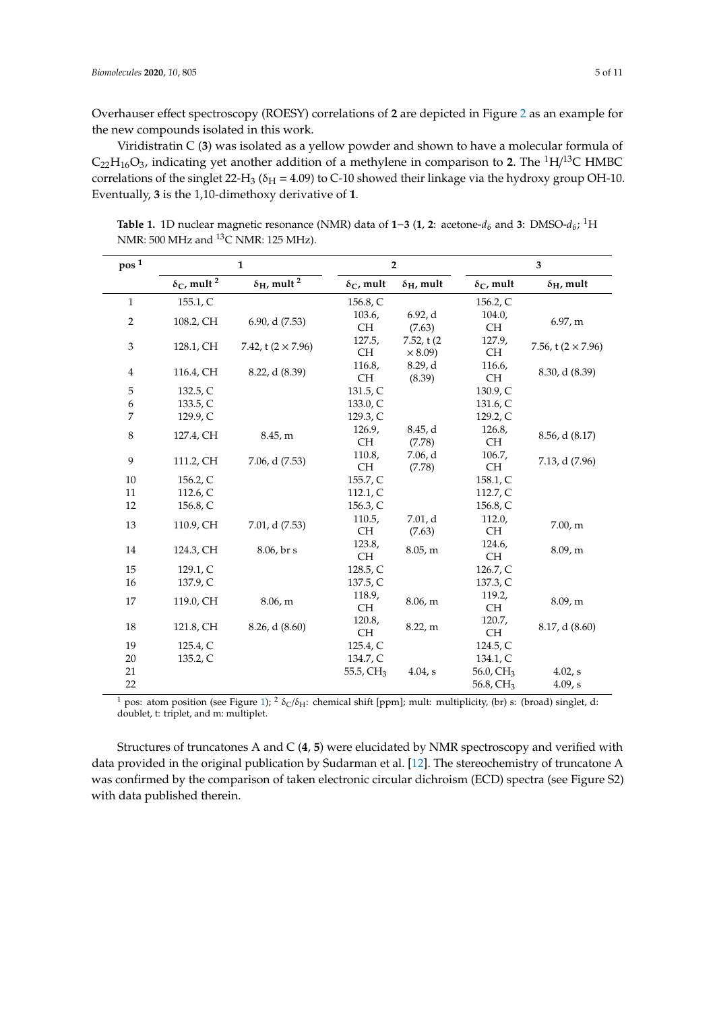Overhauser effect spectroscopy (ROESY) correlations of **2** are depicted in Figure [2](#page-5-1) as an example for the new compounds isolated in this work.

Viridistratin C (**3**) was isolated as a yellow powder and shown to have a molecular formula of  $C_{22}H_{16}O_3$ , indicating yet another addition of a methylene in comparison to 2. The <sup>1</sup>H/<sup>13</sup>C HMBC correlations of the singlet 22-H<sub>3</sub> ( $\delta$ <sub>H</sub> = 4.09) to C-10 showed their linkage via the hydroxy group OH-10. Eventually, **3** is the 1,10-dimethoxy derivative of **1**.

<span id="page-4-0"></span>**Table 1.** 1D nuclear magnetic resonance (NMR) data of **1**−**3** (**1**, **2**: acetone-*d<sup>6</sup>* and **3**: DMSO-*d<sup>6</sup>* ; <sup>1</sup>H NMR: 500 MHz and <sup>13</sup>C NMR: 125 MHz).

| pos <sup>1</sup> | $\mathbf{1}$                         |                                      | $\overline{2}$          |                         | 3                       |                           |  |
|------------------|--------------------------------------|--------------------------------------|-------------------------|-------------------------|-------------------------|---------------------------|--|
|                  | $\delta_{\rm C}$ , mult <sup>2</sup> | $\delta_{\rm H}$ , mult <sup>2</sup> | $\delta_{\rm C}$ , mult | $\delta_{\rm H}$ , mult | $\delta_{\rm C}$ , mult | $\delta_{\rm H}$ , mult   |  |
| $\mathbf{1}$     | 155.1, C                             |                                      | 156.8, C                |                         | 156.2, C                |                           |  |
| $\overline{2}$   | 108.2, CH                            | 6.90, d(7.53)                        | 103.6,<br><b>CH</b>     | 6.92, d                 | 104.0,<br><b>CH</b>     | 6.97, m                   |  |
|                  |                                      |                                      | 127.5,                  | (7.63)<br>7.52, t(2)    | 127.9,                  |                           |  |
| 3                | 128.1, CH                            | 7.42, t $(2 \times 7.96)$            | <b>CH</b>               | $\times$ 8.09)          | CH.                     | 7.56, t $(2 \times 7.96)$ |  |
| $\overline{4}$   | 116.4, CH                            | 8.22, d (8.39)                       | 116.8,                  | 8.29, d                 | 116.6,                  | 8.30, d (8.39)            |  |
|                  |                                      |                                      | <b>CH</b>               | (8.39)                  | <b>CH</b>               |                           |  |
| 5                | 132.5, C                             |                                      | 131.5, C                |                         | 130.9, C                |                           |  |
| 6                | 133.5, C                             |                                      | 133.0, C                |                         | 131.6, C                |                           |  |
| 7                | 129.9, C                             |                                      | 129.3, C                |                         | 129.2, C                |                           |  |
| 8                | 127.4, CH                            | 8.45, m                              | 126.9,                  | 8.45, d                 | 126.8,                  | $8.56$ , d $(8.17)$       |  |
|                  |                                      |                                      | CH.                     | (7.78)                  | CH.                     |                           |  |
| 9                | 111.2, CH                            | 7.06, d (7.53)                       | 110.8,                  | 7.06, d                 | 106.7,                  | 7.13, d (7.96)            |  |
|                  |                                      |                                      | <b>CH</b>               | (7.78)                  | <b>CH</b>               |                           |  |
| 10               | 156.2, C                             |                                      | 155.7, C                |                         | 158.1, C                |                           |  |
| 11               | 112.6, $C$                           |                                      | 112.1, C                |                         | 112.7, C                |                           |  |
| 12               | 156.8, C                             |                                      | 156.3, C                |                         | 156.8, C                |                           |  |
|                  |                                      |                                      | 110.5,                  | 7.01, d                 | 112.0,                  |                           |  |
| 13               | 110.9, CH                            | 7.01, d (7.53)                       | <b>CH</b>               | (7.63)                  | <b>CH</b>               | 7.00, m                   |  |
|                  |                                      |                                      | 123.8,                  |                         | 124.6,                  |                           |  |
| 14               | 124.3, CH                            | 8.06, br s                           | <b>CH</b>               | 8.05, m                 | <b>CH</b>               | 8.09, m                   |  |
| 15               | 129.1, C                             |                                      | 128.5, C                |                         | 126.7, C                |                           |  |
| 16               | 137.9, C                             |                                      | 137.5, C                |                         | 137.3, C                |                           |  |
|                  |                                      |                                      | 118.9,                  |                         | 119.2,                  |                           |  |
| 17               | 119.0, CH                            | 8.06, m                              | <b>CH</b>               | 8.06, m                 | <b>CH</b>               | 8.09, m                   |  |
| 18               | 121.8, CH                            | 8.26, d(8.60)                        | 120.8,                  | 8.22,m                  | 120.7,                  | 8.17, d(8.60)             |  |
|                  |                                      |                                      | <b>CH</b>               |                         | CH.                     |                           |  |
| 19               | 125.4, C                             |                                      | 125.4, C                |                         | 124.5, C                |                           |  |
| 20               | 135.2, C                             |                                      | 134.7, C                |                         | 134.1, C                |                           |  |
| 21               |                                      |                                      | 55.5, CH <sub>3</sub>   | 4.04, s                 | 56.0, CH <sub>3</sub>   | 4.02, s                   |  |
| 22               |                                      |                                      |                         |                         | 56.8, $CH3$             | 4.09, s                   |  |

<sup>1</sup> pos: atom position (see Figure [1\)](#page-5-0); <sup>2</sup>  $\delta$ <sub>C</sub>/ $\delta$ <sub>H</sub>: chemical shift [ppm]; mult: multiplicity, (br) s: (broad) singlet, d: doublet, t: triplet, and m: multiplet.

Structures of truncatones A and C (**4**, **5**) were elucidated by NMR spectroscopy and verified with data provided in the original publication by Sudarman et al. [\[12\]](#page-9-5). The stereochemistry of truncatone A was confirmed by the comparison of taken electronic circular dichroism (ECD) spectra (see Figure S2) with data published therein.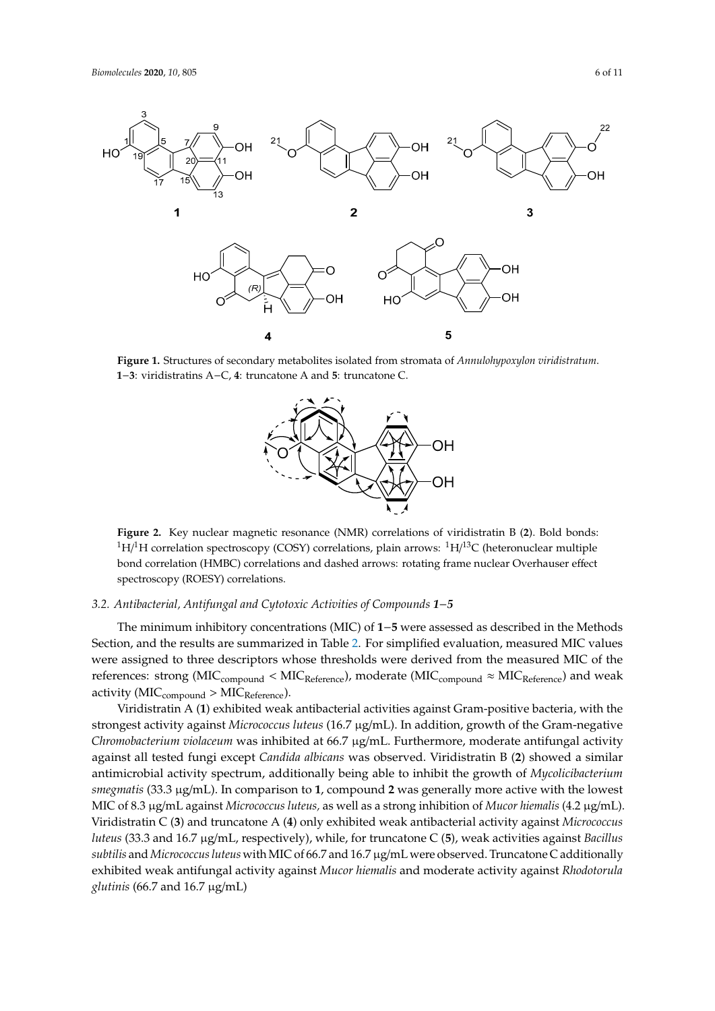1

<span id="page-5-0"></span>



<span id="page-5-1"></span>Figure 1. Structures of secondary metabolites isolated from stromata of Annulohypoxylon viridistratum. 1-3: viridistratins A-C, 4: truncatone A and 5: truncatone C.



Figure 2. Key nuclear magnetic resonance (NMR) correlations of viridistratin B (2). Bold bonds: <sup>1</sup>H/<sup>1</sup>H correlation spectroscopy (COSY) correlations, plain arrows: <sup>1</sup>H/<sup>13</sup>C (heteronuclear multiple bond correlation (HMBC) correlations and dashed arrows: rotating frame nuclear Overhauser effect spectroscopy (ROESY) correlations. spectroscopy (ROESY) correlations. spectroscopy (ROESY) correlations.

## 3.2. Antibacterial, Antifungal and Cytotoxic Activities of Compounds 1-5

on and the results are summarized in Table 2. For simplified evaluation measured MIC values Section, and the results are summarized in **Error! Reference source not found.**. For simplified  $\text{reforance:} \text{ctrons (MIC})$  values were assigned to the derived to the derived to the derived to the derived to the derived to the derived to the derived to the derived to the derived to the derived to the derived to the derived t  $\frac{1}{\sqrt{MIC}}$  of  $\frac{1}{\sqrt{MIC}}$  of  $\frac{1}{\sqrt{MIC}}$  of  $\frac{1}{\sqrt{MIC}}$ The minimum inhibitory concentrations (MIC) of **1−5** were assessed as described in the Methods in the Methods of  $\overline{a}$ Section, and the results are summarized in Table [2.](#page-6-0) For simplified evaluation, measured MIC values<br>All the results are summarized in Table 2. For simplified evaluation, measured MIC values were assigned to three descriptors whose thresholds were derived from the measured MIC of the references: strong (MIC<sub>compound</sub> < MIC<sub>Reference</sub>), moderate (MIC<sub>compound</sub> ≈ MIC<sub>Reference</sub>) and weak  $\text{activity (MIC}_{\text{compound}} > \text{MIC}_{\text{Reference}}).$ 

Miridistratin A (1) oxhibited weak antibactorial activity  $\alpha$  (and  $\alpha$  and  $\alpha$  ( $\beta$ )  $\alpha$  ( $\beta$ )  $\alpha$  ( $\beta$ ) and  $\beta$ ) in addition against  $\alpha$  for  $\alpha$  positive bacteria, where  $\alpha$  is  $\alpha$  and  $\beta$  ( $\alpha$ )  $\alpha$  and  $\beta$  ( $\alpha$ )  $\alpha$  and  $\alpha$  ( $\alpha$ )  $\alpha$ ) in addition against the strongest activity against *Micrococcus luteus* (16.7 µg/mL). In addition, growth of the Gramnegative all tooted function *comparison in the chromobacture in B* (2) chound a similar antimicrobial activity apactrum, additionally being able to inhibit the growth of *Mucelicihaterium*  $s$  meanwhic $(33.3 \times \text{m})$ . In comparison to 1, comparing 2 was generally more active with the lowest  $M_{\rm IC}$  of 8.3  $\mu$ g/mL against *Microsoccus lyteus*, as wall as a strong inhibition of *Mucor higualis* (4.2  $\mu$ g/mL). with the lowest MIC of 8.3 µg/mL against *Micrococcus luteus,* as well as a strong inhibition of *Mucor*   $h_{\text{t}}(23.2 \text{ and } 16.7 \text{ u}$   $\alpha/\text{m}$  reconctively), while for truncatone  $C(5)$  weak activities against Becillus cultilie and Micrococcus luteus with MIC of 66.7 and 16.7 ug/mL, were observed. Truncatone C additionally achilities was antifunced activity against *Mucar humplic* and moderate activity against *Bhodotoryla* exhibited weak antifungal activity against Mucor hiemalis and moderate activity against Rhodotorula<br>clutinis (66.7 and 16.7 ug/mL) moderate activity against *Rhodotorula glutinis* (66.7 and 16.7 µg/mL) Viridistratin A (**1**) exhibited weak antibacterial activities against Gram-positive bacteria, with Viridistratin A (**1**) exhibited weak antibacterial activities against Gram-positive bacteria, with the the strongest activity against *Micrococcus luteus* (16.7 µg/mL). In addition, growth of the Gram-strongest activity against *Micrococcus luteus* (16.7 µg/mL). In addition, growth of the Gram-negative negative *Chromobacterium violaceum* was inhibited at 66.7 µg/mL. Furthermore, moderate antifungal *Chromobacterium violaceum* was inhibited at 66.7 µg/mL. Furthermore, moderate antifungal activity against all tested fungi except Candida albicans was observed. Viridistratin B (2) showed a similar similar antimicrobial activity spectrum, additionally being able to inhibit the growth of antimicrobial activity spectrum, additionally being able to inhibit the growth of *Mycolicibacterium smegmatis* (33.3 µg/mL). In comparison to 1, compound 2 was generally more active with the lowest MIC of 8.3 µg/mL against Micrococcus luteus, as well as a strong inhibition of Mucor hiemalis (4.2 µg/mL).<br>View the CO CO Distribution of the United States of the United States of the United States of the United States Viridistratin C (3) and truncatone A (4) only exhibited weak antibacterial activity against *Micrococcus* luteus (33.3 and 16.7 µg/mL, respectively), while, for truncatone C (5), weak activities against Bacillus  $\frac{1}{2}$ subtilis and Micrococcus luteus with MIC of 66.7 and 16.7 µg/mL were observed. Truncatone C additionally moderate activity against *Rhodotorula glutinis* (66.7 and 16.7 µg/mL) *glutinis* (66.7 and 16.7 µg/mL)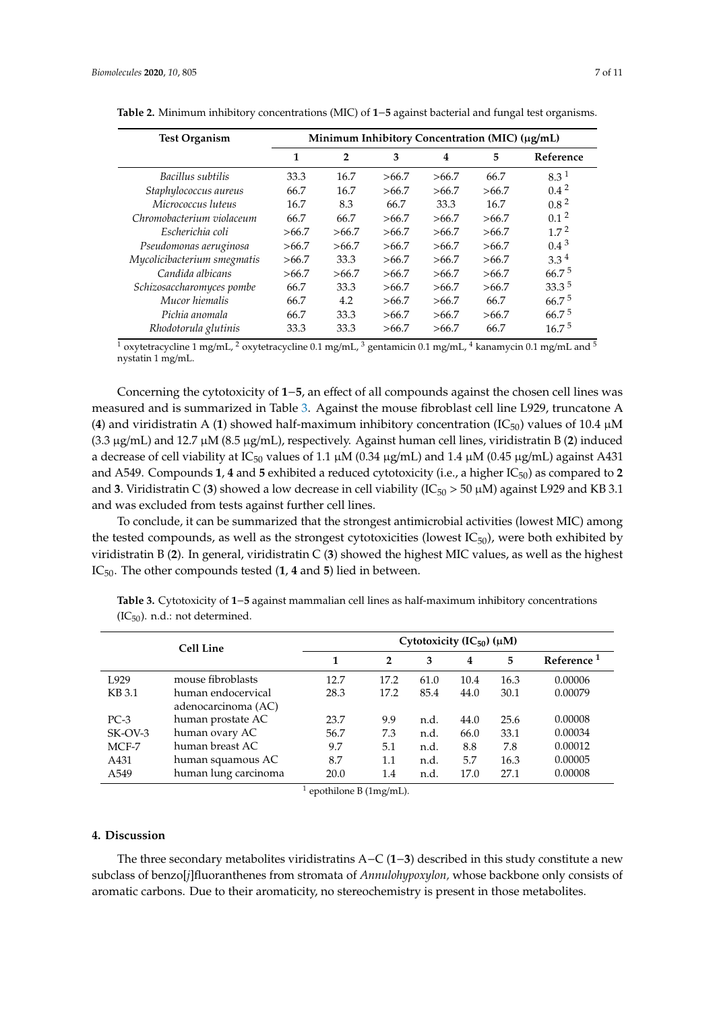| <b>Test Organism</b>        | Minimum Inhibitory Concentration (MIC) (μg/mL) |                |       |       |       |                   |  |
|-----------------------------|------------------------------------------------|----------------|-------|-------|-------|-------------------|--|
|                             | 1                                              | $\overline{2}$ | 3     | 4     | 5     | Reference         |  |
| Bacillus subtilis           | 33.3                                           | 16.7           | >66.7 | >66.7 | 66.7  | 8.3 <sup>1</sup>  |  |
| Staphylococcus aureus       | 66.7                                           | 16.7           | >66.7 | >66.7 | >66.7 | $0.4^2$           |  |
| Micrococcus luteus          | 16.7                                           | 8.3            | 66.7  | 33.3  | 16.7  | 0.8 <sup>2</sup>  |  |
| Chromobacterium violaceum   | 66.7                                           | 66.7           | >66.7 | >66.7 | >66.7 | 0.1 <sup>2</sup>  |  |
| Escherichia coli            | >66.7                                          | >66.7          | >66.7 | >66.7 | >66.7 | 1.7 <sup>2</sup>  |  |
| Pseudomonas aeruginosa      | >66.7                                          | >66.7          | >66.7 | >66.7 | >66.7 | $0.4^3$           |  |
| Mycolicibacterium smegmatis | >66.7                                          | 33.3           | >66.7 | >66.7 | >66.7 | $3.3^4$           |  |
| Candida albicans            | >66.7                                          | >66.7          | >66.7 | >66.7 | >66.7 | $66.7^{\circ}$    |  |
| Schizosaccharomyces pombe   | 66.7                                           | 33.3           | >66.7 | >66.7 | >66.7 | $33.3^{5}$        |  |
| Mucor hiemalis              | 66.7                                           | 4.2            | >66.7 | >66.7 | 66.7  | 66.7 <sup>5</sup> |  |
| Pichia anomala              | 66.7                                           | 33.3           | >66.7 | >66.7 | >66.7 | 66.7 <sup>5</sup> |  |
| Rhodotorula glutinis        | 33.3                                           | 33.3           | >66.7 | >66.7 | 66.7  | $16.7^{\circ}$    |  |

<span id="page-6-0"></span>**Table 2.** Minimum inhibitory concentrations (MIC) of **1**−**5** against bacterial and fungal test organisms.

<sup>1</sup> oxytetracycline 1 mg/mL, <sup>2</sup> oxytetracycline 0.1 mg/mL, <sup>3</sup> gentamicin 0.1 mg/mL, <sup>4</sup> kanamycin 0.1 mg/mL and <sup>5</sup> nystatin 1 mg/mL.

Concerning the cytotoxicity of **1**−**5**, an effect of all compounds against the chosen cell lines was measured and is summarized in Table [3.](#page-6-1) Against the mouse fibroblast cell line L929, truncatone A (4) and viridistratin A (1) showed half-maximum inhibitory concentration ( $IC_{50}$ ) values of 10.4  $\mu$ M (3.3 µg/mL) and 12.7 µM (8.5 µg/mL), respectively. Against human cell lines, viridistratin B (**2**) induced a decrease of cell viability at IC<sub>50</sub> values of 1.1  $\mu$ M (0.34  $\mu$ g/mL) and 1.4  $\mu$ M (0.45  $\mu$ g/mL) against A431 and A549. Compounds **1**, **4** and **5** exhibited a reduced cytotoxicity (i.e., a higher  $IC_{50}$ ) as compared to **2** and **3**. Viridistratin C (**3**) showed a low decrease in cell viability (IC<sub>50</sub> > 50 µM) against L929 and KB 3.1 and was excluded from tests against further cell lines.

To conclude, it can be summarized that the strongest antimicrobial activities (lowest MIC) among the tested compounds, as well as the strongest cytotoxicities (lowest  $IC_{50}$ ), were both exhibited by viridistratin B (**2**). In general, viridistratin C (**3**) showed the highest MIC values, as well as the highest IC50. The other compounds tested (**1**, **4** and **5**) lied in between.

| Cell Line        |                      | Cytotoxicity $(IC_{50}) (\mu M)$ |                |      |      |      |                        |  |
|------------------|----------------------|----------------------------------|----------------|------|------|------|------------------------|--|
|                  |                      | 1                                | $\overline{2}$ | 3    | 4    | 5    | Reference <sup>1</sup> |  |
| L <sub>929</sub> | mouse fibroblasts    | 12.7                             | 17.2           | 61.0 | 10.4 | 16.3 | 0.00006                |  |
| KB 3.1           | human endocervical   | 28.3                             | 17.2           | 85.4 | 44.0 | 30.1 | 0.00079                |  |
|                  | adenocarcinoma (AC)  |                                  |                |      |      |      |                        |  |
| $PC-3$           | human prostate AC    | 23.7                             | 9.9            | n.d. | 44.0 | 25.6 | 0.00008                |  |
| $SK-OV-3$        | human ovary AC       | 56.7                             | 7.3            | n.d. | 66.0 | 33.1 | 0.00034                |  |
| $MCF-7$          | human breast AC      | 9.7                              | 5.1            | n.d. | 8.8  | 7.8  | 0.00012                |  |
| A431             | human squamous AC    | 8.7                              | 1.1            | n.d. | 5.7  | 16.3 | 0.00005                |  |
| A549             | human lung carcinoma | 20.0                             | 1.4            | n.d  | 17.0 | 27.1 | 0.00008                |  |

<span id="page-6-1"></span>**Table 3.** Cytotoxicity of **1**−**5** against mammalian cell lines as half-maximum inhibitory concentrations  $(IC_{50})$ . n.d.: not determined.

 $<sup>1</sup>$  epothilone B (1mg/mL).</sup>

#### **4. Discussion**

The three secondary metabolites viridistratins A−C (**1**−**3**) described in this study constitute a new subclass of benzo[*j*]fluoranthenes from stromata of *Annulohypoxylon,* whose backbone only consists of aromatic carbons. Due to their aromaticity, no stereochemistry is present in those metabolites.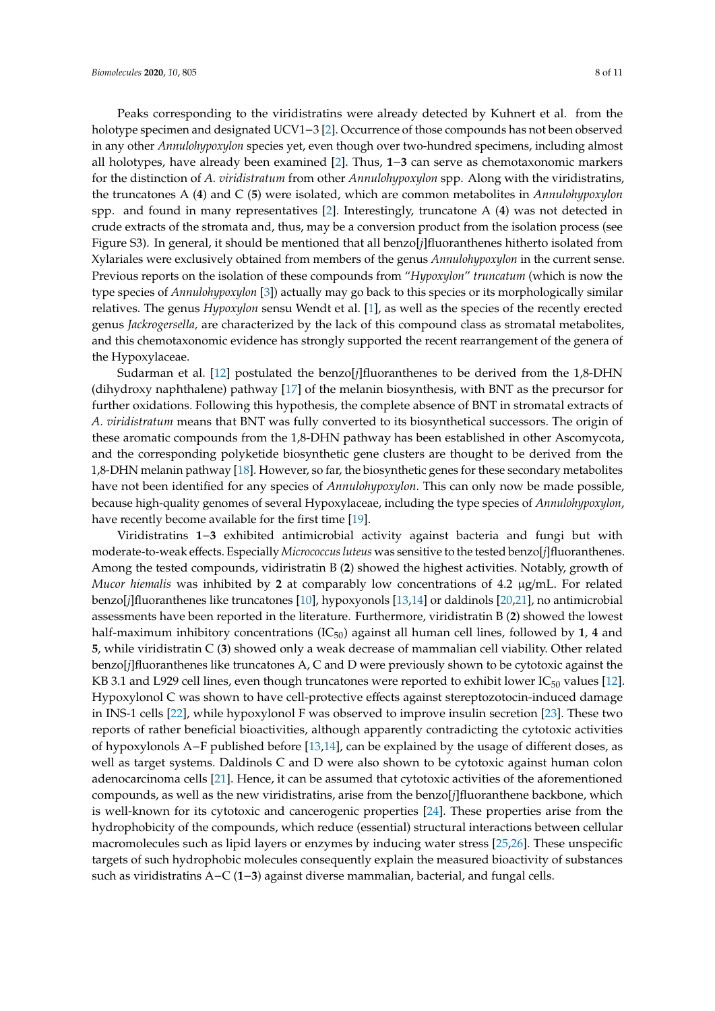Peaks corresponding to the viridistratins were already detected by Kuhnert et al. from the holotype specimen and designated UCV1−3 [\[2\]](#page-8-1). Occurrence of those compounds has not been observed in any other *Annulohypoxylon* species yet, even though over two-hundred specimens, including almost all holotypes, have already been examined [\[2\]](#page-8-1). Thus, **1**−**3** can serve as chemotaxonomic markers for the distinction of *A. viridistratum* from other *Annulohypoxylon* spp. Along with the viridistratins, the truncatones A (**4**) and C (**5**) were isolated, which are common metabolites in *Annulohypoxylon* spp. and found in many representatives [\[2\]](#page-8-1). Interestingly, truncatone A (**4**) was not detected in crude extracts of the stromata and, thus, may be a conversion product from the isolation process (see Figure S3). In general, it should be mentioned that all benzo[*j*]fluoranthenes hitherto isolated from Xylariales were exclusively obtained from members of the genus *Annulohypoxylon* in the current sense. Previous reports on the isolation of these compounds from "*Hypoxylon*" *truncatum* (which is now the type species of *Annulohypoxylon* [\[3\]](#page-8-2)) actually may go back to this species or its morphologically similar relatives. The genus *Hypoxylon* sensu Wendt et al. [\[1\]](#page-8-0), as well as the species of the recently erected genus *Jackrogersella,* are characterized by the lack of this compound class as stromatal metabolites, and this chemotaxonomic evidence has strongly supported the recent rearrangement of the genera of the Hypoxylaceae.

Sudarman et al. [\[12\]](#page-9-5) postulated the benzo[*j*]fluoranthenes to be derived from the 1,8-DHN (dihydroxy naphthalene) pathway [\[17\]](#page-9-10) of the melanin biosynthesis, with BNT as the precursor for further oxidations. Following this hypothesis, the complete absence of BNT in stromatal extracts of *A. viridistratum* means that BNT was fully converted to its biosynthetical successors. The origin of these aromatic compounds from the 1,8-DHN pathway has been established in other Ascomycota, and the corresponding polyketide biosynthetic gene clusters are thought to be derived from the 1,8-DHN melanin pathway [\[18\]](#page-9-11). However, so far, the biosynthetic genes for these secondary metabolites have not been identified for any species of *Annulohypoxylon*. This can only now be made possible, because high-quality genomes of several Hypoxylaceae, including the type species of *Annulohypoxylon*, have recently become available for the first time [\[19\]](#page-9-12).

Viridistratins **1**−**3** exhibited antimicrobial activity against bacteria and fungi but with moderate-to-weak effects. Especially *Micrococcus luteus* was sensitive to the tested benzo[*j*]fluoranthenes. Among the tested compounds, vidiristratin B (**2**) showed the highest activities. Notably, growth of *Mucor hiemalis* was inhibited by **2** at comparably low concentrations of 4.2 µg/mL. For related benzo[*j*]fluoranthenes like truncatones [\[10\]](#page-9-3), hypoxyonols [\[13,](#page-9-6)[14\]](#page-9-7) or daldinols [\[20,](#page-9-13)[21\]](#page-9-14), no antimicrobial assessments have been reported in the literature. Furthermore, viridistratin B (**2**) showed the lowest half-maximum inhibitory concentrations  $(IC_{50})$  against all human cell lines, followed by 1, 4 and **5**, while viridistratin C (**3**) showed only a weak decrease of mammalian cell viability. Other related benzo[*j*]fluoranthenes like truncatones A, C and D were previously shown to be cytotoxic against the KB 3.1 and L929 cell lines, even though truncatones were reported to exhibit lower  $IC_{50}$  values [\[12\]](#page-9-5). Hypoxylonol C was shown to have cell-protective effects against stereptozotocin-induced damage in INS-1 cells [\[22\]](#page-9-15), while hypoxylonol F was observed to improve insulin secretion [\[23\]](#page-9-16). These two reports of rather beneficial bioactivities, although apparently contradicting the cytotoxic activities of hypoxylonols A−F published before [\[13,](#page-9-6)[14\]](#page-9-7), can be explained by the usage of different doses, as well as target systems. Daldinols C and D were also shown to be cytotoxic against human colon adenocarcinoma cells [\[21\]](#page-9-14). Hence, it can be assumed that cytotoxic activities of the aforementioned compounds, as well as the new viridistratins, arise from the benzo[*j*]fluoranthene backbone, which is well-known for its cytotoxic and cancerogenic properties [\[24\]](#page-10-0). These properties arise from the hydrophobicity of the compounds, which reduce (essential) structural interactions between cellular macromolecules such as lipid layers or enzymes by inducing water stress [\[25,](#page-10-1)[26\]](#page-10-2). These unspecific targets of such hydrophobic molecules consequently explain the measured bioactivity of substances such as viridistratins A−C (**1**−**3**) against diverse mammalian, bacterial, and fungal cells.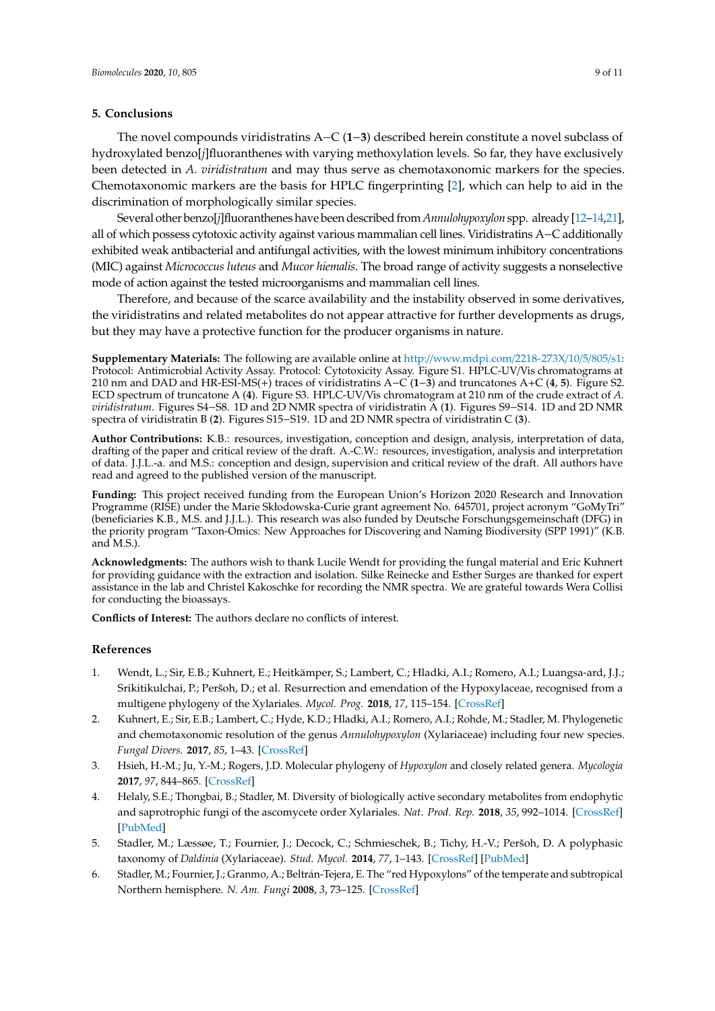#### **5. Conclusions**

The novel compounds viridistratins A−C (**1**−**3**) described herein constitute a novel subclass of hydroxylated benzo[*j*]fluoranthenes with varying methoxylation levels. So far, they have exclusively been detected in *A. viridistratum* and may thus serve as chemotaxonomic markers for the species. Chemotaxonomic markers are the basis for HPLC fingerprinting [\[2\]](#page-8-1), which can help to aid in the discrimination of morphologically similar species.

Several other benzo[*j*]fluoranthenes have been described from *Annulohypoxylon* spp. already [\[12–](#page-9-5)[14,](#page-9-7)[21\]](#page-9-14), all of which possess cytotoxic activity against various mammalian cell lines. Viridistratins A−C additionally exhibited weak antibacterial and antifungal activities, with the lowest minimum inhibitory concentrations (MIC) against *Micrococcus luteus* and *Mucor hiemalis*. The broad range of activity suggests a nonselective mode of action against the tested microorganisms and mammalian cell lines.

Therefore, and because of the scarce availability and the instability observed in some derivatives, the viridistratins and related metabolites do not appear attractive for further developments as drugs, but they may have a protective function for the producer organisms in nature.

**Supplementary Materials:** The following are available online at http://[www.mdpi.com](http://www.mdpi.com/2218-273X/10/5/805/s1)/2218-273X/10/5/805/s1: Protocol: Antimicrobial Activity Assay. Protocol: Cytotoxicity Assay. Figure S1. HPLC-UV/Vis chromatograms at 210 nm and DAD and HR-ESI-MS(+) traces of viridistratins A−C (**1**−**3**) and truncatones A+C (**4**, **5**). Figure S2. ECD spectrum of truncatone A (**4**). Figure S3. HPLC-UV/Vis chromatogram at 210 nm of the crude extract of *A. viridistratum*. Figures S4−S8. 1D and 2D NMR spectra of viridistratin A (**1**). Figures S9−S14. 1D and 2D NMR spectra of viridistratin B (**2**). Figures S15−S19. 1D and 2D NMR spectra of viridistratin C (**3**).

**Author Contributions:** K.B.: resources, investigation, conception and design, analysis, interpretation of data, drafting of the paper and critical review of the draft. A.-C.W.: resources, investigation, analysis and interpretation of data. J.J.L.-a. and M.S.: conception and design, supervision and critical review of the draft. All authors have read and agreed to the published version of the manuscript.

**Funding:** This project received funding from the European Union's Horizon 2020 Research and Innovation Programme (RISE) under the Marie Skłodowska-Curie grant agreement No. 645701, project acronym "GoMyTri" (beneficiaries K.B., M.S. and J.J.L.). This research was also funded by Deutsche Forschungsgemeinschaft (DFG) in the priority program "Taxon-Omics: New Approaches for Discovering and Naming Biodiversity (SPP 1991)" (K.B. and  $M.S.$ ).

**Acknowledgments:** The authors wish to thank Lucile Wendt for providing the fungal material and Eric Kuhnert for providing guidance with the extraction and isolation. Silke Reinecke and Esther Surges are thanked for expert assistance in the lab and Christel Kakoschke for recording the NMR spectra. We are grateful towards Wera Collisi for conducting the bioassays.

**Conflicts of Interest:** The authors declare no conflicts of interest.

#### **References**

- <span id="page-8-0"></span>1. Wendt, L.; Sir, E.B.; Kuhnert, E.; Heitkämper, S.; Lambert, C.; Hladki, A.I.; Romero, A.I.; Luangsa-ard, J.J.; Srikitikulchai, P.; Peršoh, D.; et al. Resurrection and emendation of the Hypoxylaceae, recognised from a multigene phylogeny of the Xylariales. *Mycol. Prog.* **2018**, *17*, 115–154. [\[CrossRef\]](http://dx.doi.org/10.1007/s11557-017-1311-3)
- <span id="page-8-1"></span>2. Kuhnert, E.; Sir, E.B.; Lambert, C.; Hyde, K.D.; Hladki, A.I.; Romero, A.I.; Rohde, M.; Stadler, M. Phylogenetic and chemotaxonomic resolution of the genus *Annulohypoxylon* (Xylariaceae) including four new species. *Fungal Divers.* **2017**, *85*, 1–43. [\[CrossRef\]](http://dx.doi.org/10.1007/s13225-016-0377-6)
- <span id="page-8-2"></span>3. Hsieh, H.-M.; Ju, Y.-M.; Rogers, J.D. Molecular phylogeny of *Hypoxylon* and closely related genera. *Mycologia* **2017**, *97*, 844–865. [\[CrossRef\]](http://dx.doi.org/10.1080/15572536.2006.11832776)
- <span id="page-8-3"></span>4. Helaly, S.E.; Thongbai, B.; Stadler, M. Diversity of biologically active secondary metabolites from endophytic and saprotrophic fungi of the ascomycete order Xylariales. *Nat. Prod. Rep.* **2018**, *35*, 992–1014. [\[CrossRef\]](http://dx.doi.org/10.1039/C8NP00010G) [\[PubMed\]](http://www.ncbi.nlm.nih.gov/pubmed/29774351)
- <span id="page-8-4"></span>5. Stadler, M.; Læssøe, T.; Fournier, J.; Decock, C.; Schmieschek, B.; Tichy, H.-V.; Peršoh, D. A polyphasic taxonomy of *Daldinia* (Xylariaceae). *Stud. Mycol.* **2014**, *77*, 1–143. [\[CrossRef\]](http://dx.doi.org/10.3114/sim0016) [\[PubMed\]](http://www.ncbi.nlm.nih.gov/pubmed/24790283)
- 6. Stadler, M.; Fournier, J.; Granmo, A.; Beltrán-Tejera, E. The "red Hypoxylons" of the temperate and subtropical Northern hemisphere. *N. Am. Fungi* **2008**, *3*, 73–125. [\[CrossRef\]](http://dx.doi.org/10.2509/naf2008.003.0075)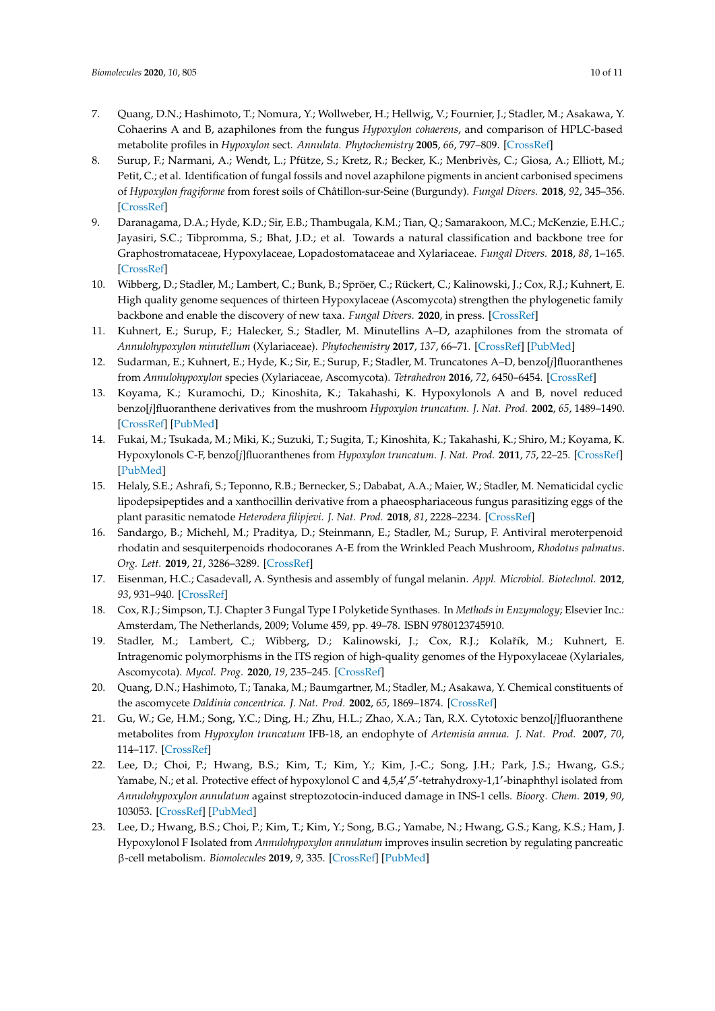- <span id="page-9-0"></span>7. Quang, D.N.; Hashimoto, T.; Nomura, Y.; Wollweber, H.; Hellwig, V.; Fournier, J.; Stadler, M.; Asakawa, Y. Cohaerins A and B, azaphilones from the fungus *Hypoxylon cohaerens*, and comparison of HPLC-based metabolite profiles in *Hypoxylon* sect. *Annulata. Phytochemistry* **2005**, *66*, 797–809. [\[CrossRef\]](http://dx.doi.org/10.1016/j.phytochem.2005.02.006)
- <span id="page-9-1"></span>8. Surup, F.; Narmani, A.; Wendt, L.; Pfütze, S.; Kretz, R.; Becker, K.; Menbrivès, C.; Giosa, A.; Elliott, M.; Petit, C.; et al. Identification of fungal fossils and novel azaphilone pigments in ancient carbonised specimens of *Hypoxylon fragiforme* from forest soils of Châtillon-sur-Seine (Burgundy). *Fungal Divers.* **2018**, *92*, 345–356. [\[CrossRef\]](http://dx.doi.org/10.1007/s13225-018-0412-x)
- <span id="page-9-2"></span>9. Daranagama, D.A.; Hyde, K.D.; Sir, E.B.; Thambugala, K.M.; Tian, Q.; Samarakoon, M.C.; McKenzie, E.H.C.; Jayasiri, S.C.; Tibpromma, S.; Bhat, J.D.; et al. Towards a natural classification and backbone tree for Graphostromataceae, Hypoxylaceae, Lopadostomataceae and Xylariaceae. *Fungal Divers.* **2018**, *88*, 1–165. [\[CrossRef\]](http://dx.doi.org/10.1007/s13225-017-0388-y)
- <span id="page-9-3"></span>10. Wibberg, D.; Stadler, M.; Lambert, C.; Bunk, B.; Spröer, C.; Rückert, C.; Kalinowski, J.; Cox, R.J.; Kuhnert, E. High quality genome sequences of thirteen Hypoxylaceae (Ascomycota) strengthen the phylogenetic family backbone and enable the discovery of new taxa. *Fungal Divers.* **2020**, in press. [\[CrossRef\]](http://dx.doi.org/10.1007/s13225-020-00447-5)
- <span id="page-9-4"></span>11. Kuhnert, E.; Surup, F.; Halecker, S.; Stadler, M. Minutellins A–D, azaphilones from the stromata of *Annulohypoxylon minutellum* (Xylariaceae). *Phytochemistry* **2017**, *137*, 66–71. [\[CrossRef\]](http://dx.doi.org/10.1016/j.phytochem.2017.02.014) [\[PubMed\]](http://www.ncbi.nlm.nih.gov/pubmed/28215421)
- <span id="page-9-5"></span>12. Sudarman, E.; Kuhnert, E.; Hyde, K.; Sir, E.; Surup, F.; Stadler, M. Truncatones A–D, benzo[*j*]fluoranthenes from *Annulohypoxylon* species (Xylariaceae, Ascomycota). *Tetrahedron* **2016**, *72*, 6450–6454. [\[CrossRef\]](http://dx.doi.org/10.1016/j.tet.2016.08.054)
- <span id="page-9-6"></span>13. Koyama, K.; Kuramochi, D.; Kinoshita, K.; Takahashi, K. Hypoxylonols A and B, novel reduced benzo[*j*]fluoranthene derivatives from the mushroom *Hypoxylon truncatum*. *J. Nat. Prod.* **2002**, *65*, 1489–1490. [\[CrossRef\]](http://dx.doi.org/10.1021/np020140h) [\[PubMed\]](http://www.ncbi.nlm.nih.gov/pubmed/12398549)
- <span id="page-9-7"></span>14. Fukai, M.; Tsukada, M.; Miki, K.; Suzuki, T.; Sugita, T.; Kinoshita, K.; Takahashi, K.; Shiro, M.; Koyama, K. Hypoxylonols C-F, benzo[*j*]fluoranthenes from *Hypoxylon truncatum*. *J. Nat. Prod.* **2011**, *75*, 22–25. [\[CrossRef\]](http://dx.doi.org/10.1021/np2004193) [\[PubMed\]](http://www.ncbi.nlm.nih.gov/pubmed/22148396)
- <span id="page-9-8"></span>15. Helaly, S.E.; Ashrafi, S.; Teponno, R.B.; Bernecker, S.; Dababat, A.A.; Maier, W.; Stadler, M. Nematicidal cyclic lipodepsipeptides and a xanthocillin derivative from a phaeosphariaceous fungus parasitizing eggs of the plant parasitic nematode *Heterodera filipjevi*. *J. Nat. Prod.* **2018**, *81*, 2228–2234. [\[CrossRef\]](http://dx.doi.org/10.1021/acs.jnatprod.8b00486)
- <span id="page-9-9"></span>16. Sandargo, B.; Michehl, M.; Praditya, D.; Steinmann, E.; Stadler, M.; Surup, F. Antiviral meroterpenoid rhodatin and sesquiterpenoids rhodocoranes A-E from the Wrinkled Peach Mushroom, *Rhodotus palmatus*. *Org. Lett.* **2019**, *21*, 3286–3289. [\[CrossRef\]](http://dx.doi.org/10.1021/acs.orglett.9b01017)
- <span id="page-9-10"></span>17. Eisenman, H.C.; Casadevall, A. Synthesis and assembly of fungal melanin. *Appl. Microbiol. Biotechnol.* **2012**, *93*, 931–940. [\[CrossRef\]](http://dx.doi.org/10.1007/s00253-011-3777-2)
- <span id="page-9-11"></span>18. Cox, R.J.; Simpson, T.J. Chapter 3 Fungal Type I Polyketide Synthases. In *Methods in Enzymology*; Elsevier Inc.: Amsterdam, The Netherlands, 2009; Volume 459, pp. 49–78. ISBN 9780123745910.
- <span id="page-9-12"></span>19. Stadler, M.; Lambert, C.; Wibberg, D.; Kalinowski, J.; Cox, R.J.; Kolařík, M.; Kuhnert, E. Intragenomic polymorphisms in the ITS region of high-quality genomes of the Hypoxylaceae (Xylariales, Ascomycota). *Mycol. Prog.* **2020**, *19*, 235–245. [\[CrossRef\]](http://dx.doi.org/10.1007/s11557-019-01552-9)
- <span id="page-9-13"></span>20. Quang, D.N.; Hashimoto, T.; Tanaka, M.; Baumgartner, M.; Stadler, M.; Asakawa, Y. Chemical constituents of the ascomycete *Daldinia concentrica*. *J. Nat. Prod.* **2002**, *65*, 1869–1874. [\[CrossRef\]](http://dx.doi.org/10.1021/np020301h)
- <span id="page-9-14"></span>21. Gu, W.; Ge, H.M.; Song, Y.C.; Ding, H.; Zhu, H.L.; Zhao, X.A.; Tan, R.X. Cytotoxic benzo[*j*]fluoranthene metabolites from *Hypoxylon truncatum* IFB-18, an endophyte of *Artemisia annua*. *J. Nat. Prod.* **2007**, *70*, 114–117. [\[CrossRef\]](http://dx.doi.org/10.1021/np0604127)
- <span id="page-9-15"></span>22. Lee, D.; Choi, P.; Hwang, B.S.; Kim, T.; Kim, Y.; Kim, J.-C.; Song, J.H.; Park, J.S.; Hwang, G.S.; Yamabe, N.; et al. Protective effect of hypoxylonol C and 4,5,4',5'-tetrahydroxy-1,1'-binaphthyl isolated from *Annulohypoxylon annulatum* against streptozotocin-induced damage in INS-1 cells. *Bioorg. Chem.* **2019**, *90*, 103053. [\[CrossRef\]](http://dx.doi.org/10.1016/j.bioorg.2019.103053) [\[PubMed\]](http://www.ncbi.nlm.nih.gov/pubmed/31220671)
- <span id="page-9-16"></span>23. Lee, D.; Hwang, B.S.; Choi, P.; Kim, T.; Kim, Y.; Song, B.G.; Yamabe, N.; Hwang, G.S.; Kang, K.S.; Ham, J. Hypoxylonol F Isolated from *Annulohypoxylon annulatum* improves insulin secretion by regulating pancreatic β-cell metabolism. *Biomolecules* **2019**, *9*, 335. [\[CrossRef\]](http://dx.doi.org/10.3390/biom9080335) [\[PubMed\]](http://www.ncbi.nlm.nih.gov/pubmed/31382473)